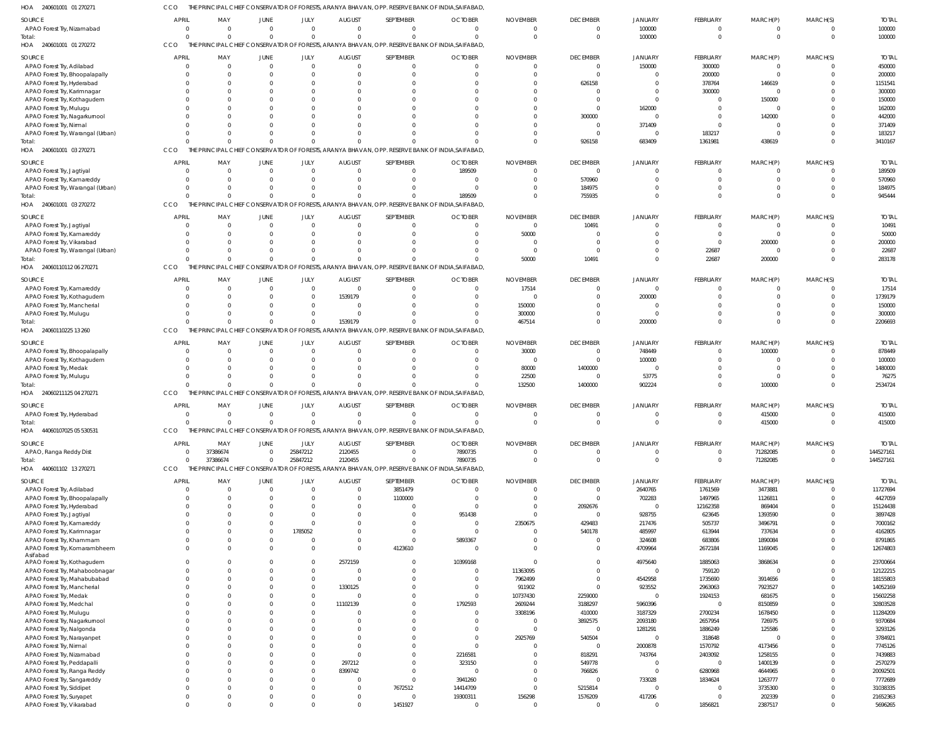240601001 01 270271 HOA 240601001 01 270272 HOA 240601001 03 270271 HOA 240601001 03 270272 HOA 24060110112 06 270271 HOA 24060110225 13 260 HOA 24060211125 04 270271 44060107025 05 530531 HOA 440601102 13 270271 HOA HOA THE PRINCIPAL CHIEF CONSERVATOR OF FORESTS, ARANYA BHAVAN, OPP. RESERVE BANK OF INDIA,SAIFABAD, THE PRINCIPAL CHIEF CONSERVATOR OF FORESTS, ARANYA BHAVAN, OPP. RESERVE BANK OF INDIA,SAIFABAD, THE PRINCIPAL CHIEF CONSERVATOR OF FORESTS, ARANYA BHAVAN, OPP. RESERVE BANK OF INDIA,SAIFABAD, THE PRINCIPAL CHIEF CONSERVATOR OF FORESTS, ARANYA BHAVAN, OPP. RESERVE BANK OF INDIA,SAIFABAD, THE PRINCIPAL CHIEF CONSERVATOR OF FORESTS, ARANYA BHAVAN, OPP. RESERVE BANK OF INDIA,SAIFABAD, THE PRINCIPAL CHIEF CONSERVATOR OF FORESTS, ARANYA BHAVAN, OPP. RESERVE BANK OF INDIA,SAIFABAD, THE PRINCIPAL CHIEF CONSERVATOR OF FORESTS, ARANYA BHAVAN, OPP. RESERVE BANK OF INDIA,SAIFABAD, THE PRINCIPAL CHIEF CONSERVATOR OF FORESTS, ARANYA BHAVAN, OPP. RESERVE BANK OF INDIA,SAIFABAD, THE PRINCIPAL CHIEF CONSERVATOR OF FORESTS, ARANYA BHAVAN, OPP. RESERVE BANK OF INDIA,SAIFABAD, CCO CCO CCO **CCO** CCO **CCO CCO** CCO CCO 0 0  $\Omega$ 0 0  $\Omega$ 0  $\Omega$ 0 0 0  $\Omega$ 0 0 0 37386674 0  $\Omega$ 0 0 0  $\Omega$ 0 0 0 0 0  $\Omega$ 0  $\Omega$ 0 25847212 0  $\Omega$ 0 0 1539179  $\Omega$ 0 2120455 0 0  $\Omega$ 0 0  $\sqrt{2}$  $\Omega$  $\Omega$ 0 0 189509 0 0  $\Omega$ 0 7890735 0 0 0 50000 467514 132500 0  $\Omega$ 0 926158 755935 10491 0 1400000 0  $\Omega$ 100000 683409 0 0 200000 902224 0 0 0 1361981 0 22687 0  $\Omega$ 0  $\Omega$ 0 438619 0 200000 0 100000 415000 71282085 0  $\Omega$ 0  $\Omega$ 0  $\Omega$ 0  $\Omega$ 100000 3410167 945444 283178 2206693 2534724 415000 144527161 APAO Forest Try, Nizamabad APAO Forest Try, Adilabad APAO Forest Try, Bhoopalapally APAO Forest Try, Hyderabad APAO Forest Try, Karimnagar APAO Forest Try, Kothagudem APAO Forest Try, Mulugu APAO Forest Try, Nagarkurnool APAO Forest Try, Nirmal APAO Forest Try, Warangal (Urban) APAO Forest Try, Jagtiyal APAO Forest Try, Kamareddy APAO Forest Try, Warangal (Urban) APAO Forest Try, Jagtiyal APAO Forest Try, Kamareddy APAO Forest Try, Vikarabad APAO Forest Try, Warangal (Urban) APAO Forest Try, Kamareddy APAO Forest Try, Kothagudem APAO Forest Try, Mancherial APAO Forest Try, Mulugu APAO Forest Try, Bhoopalapally APAO Forest Try, Kothagudem APAO Forest Try, Medak APAO Forest Try, Mulugu APAO Forest Try, Hyderabad APAO, Ranga Reddy Dist APAO Forest Try, Adilabad APAO Forest Try, Bhoopalapally APAO Forest Try, Hyderabad APAO Forest Try, Jagtiyal APAO Forest Try, Kamareddy APAO Forest Try, Karimnagar APAO Forest Try, Khammam APAO Forest Try, Komarambheem Asifabad APAO Forest Try, Kothagudem APAO Forest Try, Mahaboobnagar APAO Forest Try, Mahabubabad APAO Forest Try, Mancherial APAO Forest Try, Medak APAO Forest Try, Medchal APAO Forest Try, Mulugu APAO Forest Try, Nagarkurnool APAO Forest Try, Nalgonda APAO Forest Try, Narayanpet APAO Forest Try, Nirmal APAO Forest Try, Nizamabad APAO Forest Try, Peddapalli APAO Forest Try, Ranga Reddy APAO Forest Try, Sangareddy APAO Forest Try, Siddipet APAO Forest Try, Suryapet APAO Forest Try, Vikarabad SOURCE SOURCE SOURCE **SOURCE** SOURCE SOURCE **SOURCE SOURCE** SOURCE 0 0 0 0  $\Omega$  $\Omega$ 0  $\Omega$ 0  $\Omega$  $\Omega$ 0  $\Omega$ 0  $\Omega$  $\Omega$ 0 0  $\Omega$ 0  $\Omega$  $\mathfrak{c}$  $\Omega$  $\Omega$ 0  $\Omega$ 0 0  $\Omega$ 0 0  $\mathfrak{g}$  $\Omega$  $\Omega$ 0  $\sqrt{2}$ 0  $\Omega$ 0  $\Omega$  $\Omega$  $\mathbf{C}$  $\Omega$ 0 0  $\Omega$  $\Omega$  $\Omega$ 0  $\Omega$ 0 0  $\Omega$ APRIL APRIL APRIL APRIL APRIL **APRIL** APRIL APRIL APRIL 0 0 0 0 0  $\Omega$ 0  $\Omega$ 0  $\Omega$ 0 0  $\Omega$ 0  $\Omega$  $\Omega$ 0 0  $\Omega$ 0  $\Omega$ 0 0  $\Omega$ 0  $\Omega$ 37386674 0  $\Omega$ 0  $\Omega$ 0  $\Omega$  $\Omega$ 0  $\sqrt{2}$ 0  $\Omega$ 0  $\Omega$  $\Omega$ 0  $\Omega$ 0  $\Omega$  $\Omega$  $\Omega$  $\Omega$ 0  $\Omega$ 0 0 0 MAY MAY MAY MAY MAY MAY MAY MAY MAY 0  $\mathbf{C}$ 0 0  $\Omega$  $\Omega$ 0  $\Omega$  $\mathbf 0$  $\Omega$  $\Omega$ 0  $\Omega$ 0  $\Omega$  $\Omega$ 0 0  $\Omega$ 0  $\Omega$  $\mathfrak{c}$ 0  $\Omega$ 0  $\Omega$ 0 0  $\Omega$ 0 0 0 0  $\Omega$ 0  $\Omega$ 0  $\Omega$ 0 0  $\Omega$  $\mathbf{C}$  $\Omega$ 0 0 0  $\Omega$  $\Omega$  $\mathbf 0$  $\Omega$ 0 0 0 JUNE JUNE JUNE JUNE JUNE JUNE JUNE JUNE JUNE 0 0  $\Omega$ 0 0 0 0 0 0 0  $\Omega$ 0  $\Omega$ 0 0  $\Omega$ 0  $\Omega$  $\bigcap$ 0  $\Omega$ 0  $\Omega$  $\bigcap$ 0  $\Omega$ 25847212 0  $\Omega$ 0 0 0 1785052  $\Omega$ 0  $\bigcap$ 0  $\Omega$ 0  $\Omega$  $\bigcap$ 0 0 0  $\Omega$ 0  $\Omega$  $\Omega$ 0  $\Omega$ 0  $\Omega$  $\Omega$ JULY JULY JULY JULY JULY JULY JULY JULY JULY 0 0 0 0  $\Omega$  $\Omega$ 0  $\Omega$ 0  $\Omega$ 0 0  $\Omega$ 0  $\Omega$  $\Omega$ 0 0 1539179 0  $\Omega$ 0 0  $\Omega$ 0  $\Omega$ 2120455 0  $\Omega$ 0 0 0 0 0 0 2572159 0  $\Omega$ 1330125  $\Omega$ 11102139 0  $\Omega$ 0 0  $\Omega$  $\Omega$ 297212 8399742  $\Omega$ 0 0 0 AUGUST AUGUST AUGUST AUGUST AUGUST **AUGUST** AUGUST AUGUST AUGUST  $\Omega$ 0  $\Omega$ 0 0 0 0 0 0 0  $\Omega$ 0  $\Omega$ 0 0  $\sqrt{2}$ 0 0 0 0 0 0 0 0 0  $\Omega$ 0 3851479 1100000 0  $\Omega$ 0 0  $\Omega$ 4123610  $\bigcap$ 0  $\Omega$ 0 0 0 0 0 0 0 0 0 0 0 0 7672512  $\Omega$ 1451927 SEPTEMBER SEPTEMBER SEPTEMBER SEPTEMBER SEPTEMBER SEPTEMBER SEPTEMBER SEPTEMBER SEPTEMBER 0 0  $\Omega$ 0 0 0 0 0 0 0 189509 0  $\Omega$ 0 0  $\Omega$ 0  $\Omega$ 0 0  $\Omega$ 0  $\Omega$ 0 0 0 7890735 0  $\Omega$ 0 951438 0 0 5893367 0 10399168 0  $\Omega$ 0 0 1792593 0 0 0 0 0 2216581 323150 0 3941260 14414709 19300311 0 OCTOBER **OCTOBER** OCTOBER **OCTOBER** OCTOBER OCTOBER **OCTOBER OCTOBER OCTOBER**  $\Omega$ 0  $\Omega$  $\Omega$ 0  $\bigcap$ 0  $\sqrt{2}$ 0  $\Omega$  $\Omega$ 0  $\Omega$ 0 50000  $\sqrt{2}$ 0 17514 0 150000 300000 30000  $\Omega$ 80000 22500  $\Omega$ 0 0  $\Omega$ 0 0 2350675  $\Omega$  $\Omega$ 0  $\bigcap$ 11363095 7962499 911902 10737430 2609244 3308196  $\Omega$ 0 2925769 0  $\Omega$  $\Omega$ 0  $\Omega$  $\Omega$ 156298  $\Omega$ NOVEMBER NOVEMBER NOVEMBER NOVEMBER NOVEMBER NOVEMBER NOVEMBER NOVEMBER NOVEMBER  $\Omega$ 0 0 626158  $\Omega$  $\Omega$ 0 300000 0  $\Omega$  $\Omega$ 570960 184975 10491  $\Omega$  $\Omega$ 0  $\Omega$  $\bigcap$ 0  $\Omega$ 0  $\Omega$ 1400000 0  $\Omega$ 0 0  $\Omega$ 2092676  $\Omega$ 429483 540178  $\Omega$ 0  $\bigcap$ 0  $\Omega$ 0 2259000 3188297 410000 3892575 0 540504  $\Omega$ 818291 549778 766826  $\sqrt{0}$ 5215814 1576209 0 DECEMBER **DECEMBER** DECEMBER DECEMBER DECEMBER DECEMBER DECEMBER DECEMBER DECEMBER 100000 150000 0 0  $\Omega$  $\Omega$ 162000  $\Omega$ 371409 0 0 0  $\Omega$ 0  $\Omega$  $\Omega$ 0 0 200000 0  $\Omega$ 748449 100000  $\Omega$ 53775  $\Omega$ 0 2640765 702283 0 928755 217476 485997 324608 4709964 4975640 0 4542958 923552 0 5960396 3187329 2093180 1281291 0 2000878 743764  $\Omega$ 0 733028 0 417206 0 JANUARY JANUARY JANUARY JANUARY JANUARY JANUARY JANUARY JANUARY JANUARY 0 300000 200000 378764 300000  $\Omega$ 0  $\Omega$ 0 183217  $\Omega$ 0  $\Omega$ 0  $\Omega$  $\Omega$ 22687  $\Omega$  $\Omega$ 0  $\Omega$ 0 0  $\Omega$ 0  $\Omega$ 0 1761569 1497965 12162358 623645 505737 613944 683806 2672184 1885063 759120 1735690 2963063 1924153  $\Omega$ 2700234 2657954 1886249 318648 1570792 2403092  $\Omega$ 6280968 1834624 0  $\Omega$ 1856821 FEBRUARY **FEBRUARY** FEBRUARY FEBRUARY FEBRUARY FEBRUARY FEBRUARY FEBRUARY FEBRUARY 0 0 0 146619  $\Omega$ 150000 0 142000  $\mathbf 0$  $\Omega$  $\Omega$ 0  $\Omega$ 0  $\Omega$ 200000 0  $\Omega$  $\Omega$ 0  $\Omega$ 100000 0  $\Omega$ 0 415000 71282085 3473881 1126811 869404 1393590 3496791 737634 1890084 1169045 3868634 0 3914656 7923527 681675 8150859 1678450 726975 125586  $\Omega$ 4173456 1258155 1400139 4644965 1263777 3735300 202339 2387517 MARCH(P) MARCH(P) MARCH(P) MARCH(P) MARCH(P) MARCH(P) MARCH(P) MARCH(P) MARCH(P)  $\Omega$ 0  $\Omega$  $\Omega$ 0 0 0  $\bigcap$ 0  $\Omega$ 0 0  $\Omega$ 0  $\Omega$  $\Omega$ 0  $\Omega$  $\bigcap$ 0  $\Omega$ 0  $\Omega$  $\bigcap$ 0  $\Omega$ 0 0  $\Omega$ 0  $\Omega$ 0  $\Omega$  $\Omega$ 0  $\bigcap$ 0  $\Omega$ 0  $\Omega$ 0 0 0 0 0 0 0  $\bigcap$ 0  $\Omega$ 0  $\Omega$ 0 MARCH(S) MARCH(S) MARCH(S) MARCH(S) MARCH(S) MARCH(S) MARCH(S) MARCH(S) MARCH(S) 100000 450000 200000 1151541 300000 150000 162000 442000 371409 183217 189509 570960 184975 10491 50000 200000 22687 17514 1739179 150000 300000 878449 100000 1480000 76275 415000 144527161 11727694 4427059 15124438 3897428 7000162 4162805 8791865 12674803 23700664 12122215 18155803 14052169 15602258 32803528 11284209 9370684 3293126 3784921 7745126 7439883 2570279 20092501 7772689 31038335 21652363 5696265 TOTAL TOTAL TOTAL TOTAL TOTAL TOTAL TOTAL TOTAL TOTAL Total: Total: Total: Total: Total: Total: Total: Total: